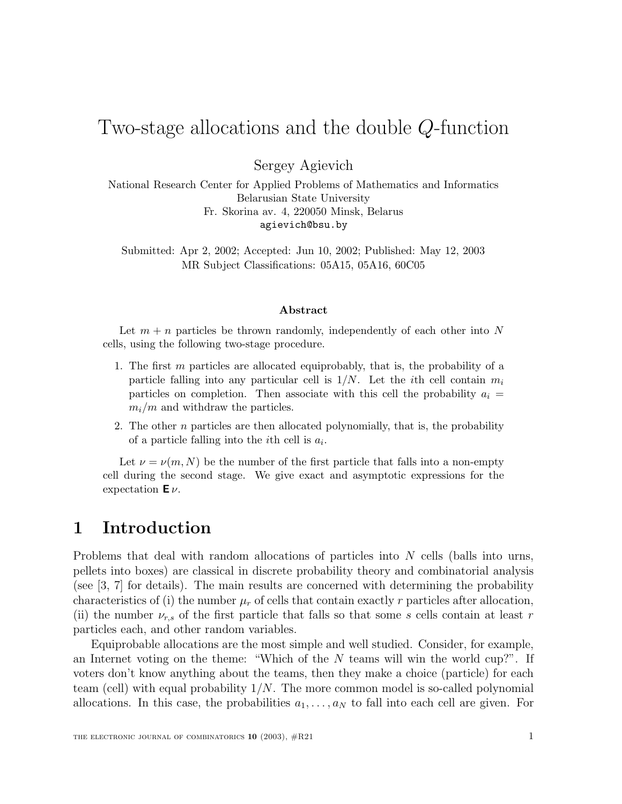# Two-stage allocations and the double Q-function

Sergey Agievich

National Research Center for Applied Problems of Mathematics and Informatics Belarusian State University Fr. Skorina av. 4, 220050 Minsk, Belarus agievich@bsu.by

Submitted: Apr 2, 2002; Accepted: Jun 10, 2002; Published: May 12, 2003 MR Subject Classifications: 05A15, 05A16, 60C05

#### **Abstract**

Let  $m + n$  particles be thrown randomly, independently of each other into N cells, using the following two-stage procedure.

- 1. The first m particles are allocated equiprobably, that is, the probability of a particle falling into any particular cell is  $1/N$ . Let the *i*th cell contain  $m_i$ particles on completion. Then associate with this cell the probability  $a_i =$  $m_i/m$  and withdraw the particles.
- 2. The other  $n$  particles are then allocated polynomially, that is, the probability of a particle falling into the *i*th cell is  $a_i$ .

Let  $\nu = \nu(m, N)$  be the number of the first particle that falls into a non-empty cell during the second stage. We give exact and asymptotic expressions for the expectation **E** ν.

### **1 Introduction**

Problems that deal with random allocations of particles into N cells (balls into urns, pellets into boxes) are classical in discrete probability theory and combinatorial analysis (see [3, 7] for details). The main results are concerned with determining the probability characteristics of (i) the number  $\mu_r$  of cells that contain exactly r particles after allocation, (ii) the number  $\nu_{r,s}$  of the first particle that falls so that some s cells contain at least r particles each, and other random variables.

Equiprobable allocations are the most simple and well studied. Consider, for example, an Internet voting on the theme: "Which of the  $N$  teams will win the world cup?". If voters don't know anything about the teams, then they make a choice (particle) for each team (cell) with equal probability  $1/N$ . The more common model is so-called polynomial allocations. In this case, the probabilities  $a_1, \ldots, a_N$  to fall into each cell are given. For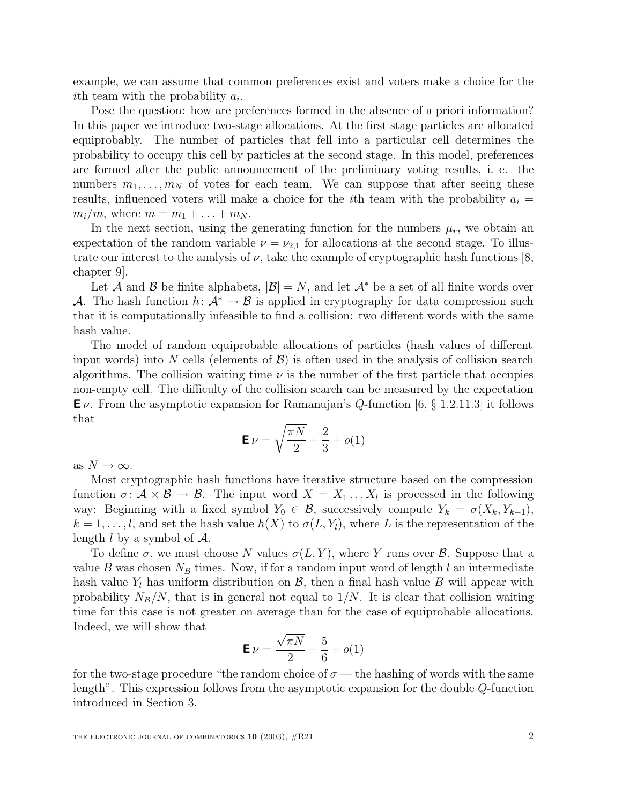example, we can assume that common preferences exist and voters make a choice for the ith team with the probability  $a_i$ .

Pose the question: how are preferences formed in the absence of a priori information? In this paper we introduce two-stage allocations. At the first stage particles are allocated equiprobably. The number of particles that fell into a particular cell determines the probability to occupy this cell by particles at the second stage. In this model, preferences are formed after the public announcement of the preliminary voting results, i. e. the numbers  $m_1, \ldots, m_N$  of votes for each team. We can suppose that after seeing these results, influenced voters will make a choice for the *i*th team with the probability  $a_i =$  $m_i/m$ , where  $m = m_1 + ... + m_N$ .

In the next section, using the generating function for the numbers  $\mu_r$ , we obtain an expectation of the random variable  $\nu = \nu_{2,1}$  for allocations at the second stage. To illustrate our interest to the analysis of  $\nu$ , take the example of cryptographic hash functions [8, chapter 9].

Let A and B be finite alphabets,  $|\mathcal{B}| = N$ , and let  $\mathcal{A}^*$  be a set of all finite words over A. The hash function  $h: \mathcal{A}^* \to \mathcal{B}$  is applied in cryptography for data compression such that it is computationally infeasible to find a collision: two different words with the same hash value.

The model of random equiprobable allocations of particles (hash values of different input words) into N cells (elements of  $\mathcal{B}$ ) is often used in the analysis of collision search algorithms. The collision waiting time  $\nu$  is the number of the first particle that occupies non-empty cell. The difficulty of the collision search can be measured by the expectation  $\mathsf{E}\nu$ . From the asymptotic expansion for Ramanujan's Q-function  $\ket{6,\S}$  1.2.11.3 it follows that

$$
\mathbf{E}\,\nu = \sqrt{\frac{\pi N}{2}} + \frac{2}{3} + o(1)
$$

as  $N \to \infty$ .

Most cryptographic hash functions have iterative structure based on the compression function  $\sigma: \mathcal{A} \times \mathcal{B} \to \mathcal{B}$ . The input word  $X = X_1 \dots X_l$  is processed in the following way: Beginning with a fixed symbol  $Y_0 \in \mathcal{B}$ , successively compute  $Y_k = \sigma(X_k, Y_{k-1}),$  $k = 1, \ldots, l$ , and set the hash value  $h(X)$  to  $\sigma(L, Y_l)$ , where L is the representation of the length  $l$  by a symbol of  $\mathcal{A}$ .

To define  $\sigma$ , we must choose N values  $\sigma(L, Y)$ , where Y runs over B. Suppose that a value B was chosen  $N_B$  times. Now, if for a random input word of length l an intermediate hash value  $Y_l$  has uniform distribution on  $\mathcal{B}$ , then a final hash value B will appear with probability  $N_B/N$ , that is in general not equal to  $1/N$ . It is clear that collision waiting time for this case is not greater on average than for the case of equiprobable allocations. Indeed, we will show that √

$$
\mathbf{E}\,\nu=\frac{\sqrt{\pi N}}{2}+\frac{5}{6}+o(1)
$$

for the two-stage procedure "the random choice of  $\sigma$  — the hashing of words with the same length". This expression follows from the asymptotic expansion for the double Q-function introduced in Section 3.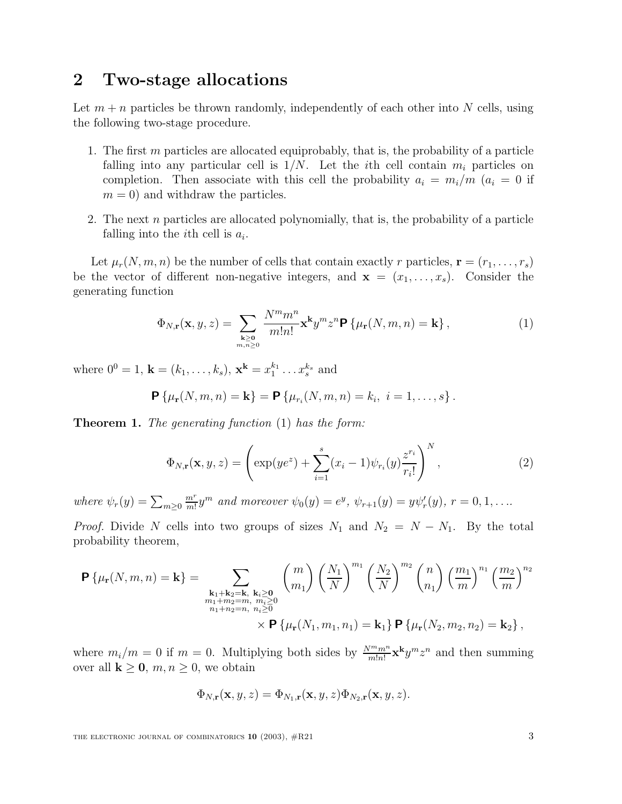# **2 Two-stage allocations**

Let  $m + n$  particles be thrown randomly, independently of each other into N cells, using the following two-stage procedure.

- 1. The first  $m$  particles are allocated equiprobably, that is, the probability of a particle falling into any particular cell is  $1/N$ . Let the *i*th cell contain  $m_i$  particles on completion. Then associate with this cell the probability  $a_i = m_i/m$  ( $a_i = 0$  if  $m = 0$ ) and withdraw the particles.
- 2. The next n particles are allocated polynomially, that is, the probability of a particle falling into the *i*th cell is  $a_i$ .

Let  $\mu_r(N, m, n)$  be the number of cells that contain exactly r particles,  $\mathbf{r} = (r_1, \ldots, r_s)$ be the vector of different non-negative integers, and  $\mathbf{x} = (x_1, \ldots, x_s)$ . Consider the generating function

$$
\Phi_{N,\mathbf{r}}(\mathbf{x},y,z) = \sum_{\substack{\mathbf{k} \ge \mathbf{0} \\ m,n \ge 0}} \frac{N^m m^n}{m! n!} \mathbf{x}^{\mathbf{k}} y^m z^n \mathbf{P} \left\{ \mu_\mathbf{r}(N,m,n) = \mathbf{k} \right\},\tag{1}
$$

where  $0^0 = 1$ ,  $\mathbf{k} = (k_1, \ldots, k_s)$ ,  $\mathbf{x}^{\mathbf{k}} = x_1^{k_1} \ldots x_s^{k_s}$  and

$$
\mathbf{P}\left\{\mu_{r}(N,m,n)=\mathbf{k}\right\}=\mathbf{P}\left\{\mu_{r_{i}}(N,m,n)=k_{i}, i=1,\ldots,s\right\}.
$$

**Theorem 1.** The generating function (1) has the form:

$$
\Phi_{N,\mathbf{r}}(\mathbf{x},y,z) = \left(\exp(ye^z) + \sum_{i=1}^s (x_i - 1)\psi_{r_i}(y)\frac{z^{r_i}}{r_i!}\right)^N,\tag{2}
$$

where  $\psi_r(y) = \sum_{m \geq 0}$  $\frac{m^r}{m!}y^m$  and moreover  $\psi_0(y) = e^y$ ,  $\psi_{r+1}(y) = y\psi'_r(y)$ ,  $r = 0, 1, \ldots$ 

*Proof.* Divide N cells into two groups of sizes  $N_1$  and  $N_2 = N - N_1$ . By the total probability theorem,

$$
\mathbf{P}\{\mu_{\mathbf{r}}(N,m,n) = \mathbf{k}\} = \sum_{\substack{\mathbf{k}_1 + \mathbf{k}_2 = \mathbf{k}, \ \mathbf{k}_i \ge 0 \\ m_1 + m_2 = m, \ m_i \ge 0 \\ n_1 + n_2 = n, \ n_i \ge 0}} {m \choose m_1} \left(\frac{N_1}{N}\right)^{m_1} \left(\frac{N_2}{N}\right)^{m_2} {n \choose n_1} \left(\frac{m_1}{m}\right)^{n_1} \left(\frac{m_2}{m}\right)^{n_2} \times \mathbf{P}\{\mu_{\mathbf{r}}(N_1, m_1, n_1) = \mathbf{k}_1\} \mathbf{P}\{\mu_{\mathbf{r}}(N_2, m_2, n_2) = \mathbf{k}_2\},\
$$

where  $m_i/m = 0$  if  $m = 0$ . Multiplying both sides by  $\frac{N^m m^n}{m!n!}$ **x**<sup>k</sup> $y^m z^n$  and then summing over all  $\mathbf{k} \geq \mathbf{0}$ ,  $m, n \geq 0$ , we obtain

$$
\Phi_{N,\mathbf{r}}(\mathbf{x},y,z) = \Phi_{N_1,\mathbf{r}}(\mathbf{x},y,z)\Phi_{N_2,\mathbf{r}}(\mathbf{x},y,z).
$$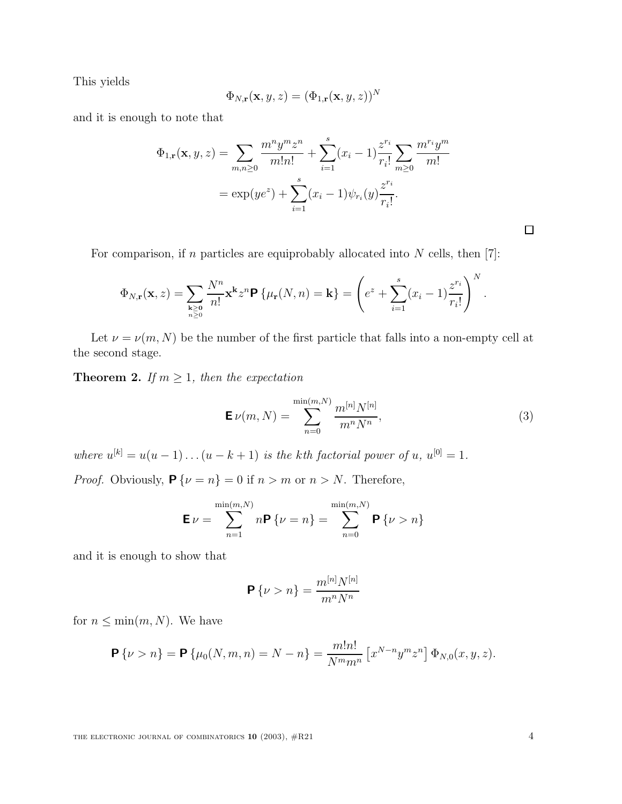This yields

$$
\Phi_{N,\mathbf{r}}(\mathbf{x},y,z)=(\Phi_{1,\mathbf{r}}(\mathbf{x},y,z))^N
$$

and it is enough to note that

$$
\Phi_{1,\mathbf{r}}(\mathbf{x}, y, z) = \sum_{m,n \ge 0} \frac{m^n y^m z^n}{m! n!} + \sum_{i=1}^s (x_i - 1) \frac{z^{r_i}}{r_i!} \sum_{m \ge 0} \frac{m^{r_i} y^m}{m!}
$$

$$
= \exp(y e^z) + \sum_{i=1}^s (x_i - 1) \psi_{r_i}(y) \frac{z^{r_i}}{r_i!}.
$$

For comparison, if  $n$  particles are equiprobably allocated into  $N$  cells, then [7]:

$$
\Phi_{N,\mathbf{r}}(\mathbf{x},z) = \sum_{\substack{\mathbf{k}\geq \mathbf{0} \\ n\geq 0}} \frac{N^n}{n!} \mathbf{x}^{\mathbf{k}} z^n \mathbf{P} \left\{ \mu_{\mathbf{r}}(N,n) = \mathbf{k} \right\} = \left( e^z + \sum_{i=1}^s (x_i - 1) \frac{z^{r_i}}{r_i!} \right)^N.
$$

Let  $\nu = \nu(m,N)$  be the number of the first particle that falls into a non-empty cell at the second stage.

**Theorem 2.** If  $m \geq 1$ , then the expectation

$$
\mathbf{E}\,\nu(m,N) = \sum_{n=0}^{\min(m,N)} \frac{m^{[n]}N^{[n]}}{m^nN^n},\tag{3}
$$

where  $u^{[k]} = u(u-1)...(u-k+1)$  is the kth factorial power of  $u, u^{[0]} = 1$ . *Proof.* Obviously,  $P\{\nu = n\} = 0$  if  $n > m$  or  $n > N$ . Therefore,

$$
\mathbf{E}\,\nu = \sum_{n=1}^{\min(m,N)} n\mathbf{P}\,\{\nu = n\} = \sum_{n=0}^{\min(m,N)} \mathbf{P}\,\{\nu > n\}
$$

and it is enough to show that

$$
\mathbf{P}\left\{\nu > n\right\} = \frac{m^{[n]}N^{[n]}}{m^nN^n}
$$

for  $n \leq \min(m, N)$ . We have

$$
\mathbf{P}\left\{\nu > n\right\} = \mathbf{P}\left\{\mu_0(N, m, n) = N - n\right\} = \frac{m!n!}{N^m m^n} \left[x^{N-n} y^m z^n\right] \Phi_{N,0}(x, y, z).
$$

 $\square$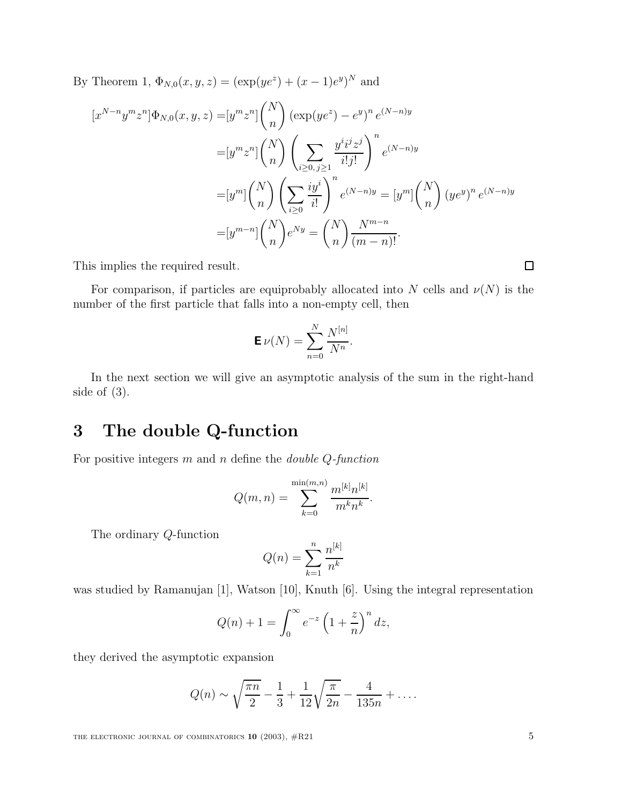By Theorem 1,  $\Phi_{N,0}(x, y, z) = (\exp(ye^{z}) + (x - 1)e^{y})^{N}$  and

$$
[x^{N-n}y^m z^n] \Phi_{N,0}(x, y, z) = [y^m z^n] \binom{N}{n} (\exp(ye^z) - e^y)^n e^{(N-n)y}
$$
  

$$
= [y^m z^n] \binom{N}{n} \left( \sum_{i \ge 0, j \ge 1} \frac{y^i i^j z^j}{i! j!} \right)^n e^{(N-n)y}
$$
  

$$
= [y^m] \binom{N}{n} \left( \sum_{i \ge 0} \frac{iy^i}{i!} \right)^n e^{(N-n)y} = [y^m] \binom{N}{n} (ye^y)^n e^{(N-n)y}
$$
  

$$
= [y^{m-n}] \binom{N}{n} e^{Ny} = \binom{N}{n} \frac{N^{m-n}}{(m-n)!}.
$$

This implies the required result.

For comparison, if particles are equiprobably allocated into N cells and  $\nu(N)$  is the number of the first particle that falls into a non-empty cell, then

$$
\mathbf{E}\,\nu(N)=\sum_{n=0}^N\frac{N^{[n]}}{N^n}.
$$

In the next section we will give an asymptotic analysis of the sum in the right-hand side of  $(3)$ .

# **3 The double Q-function**

For positive integers  $m$  and  $n$  define the *double Q-function* 

$$
Q(m, n) = \sum_{k=0}^{\min(m,n)} \frac{m^{[k]} n^{[k]}}{m^k n^k}.
$$

The ordinary Q-function

$$
Q(n) = \sum_{k=1}^{n} \frac{n^{[k]}}{n^k}
$$

was studied by Ramanujan [1], Watson [10], Knuth [6]. Using the integral representation

$$
Q(n) + 1 = \int_0^\infty e^{-z} \left(1 + \frac{z}{n}\right)^n dz,
$$

they derived the asymptotic expansion

$$
Q(n) \sim \sqrt{\frac{\pi n}{2}} - \frac{1}{3} + \frac{1}{12} \sqrt{\frac{\pi}{2n}} - \frac{4}{135n} + \dots
$$

 $\Box$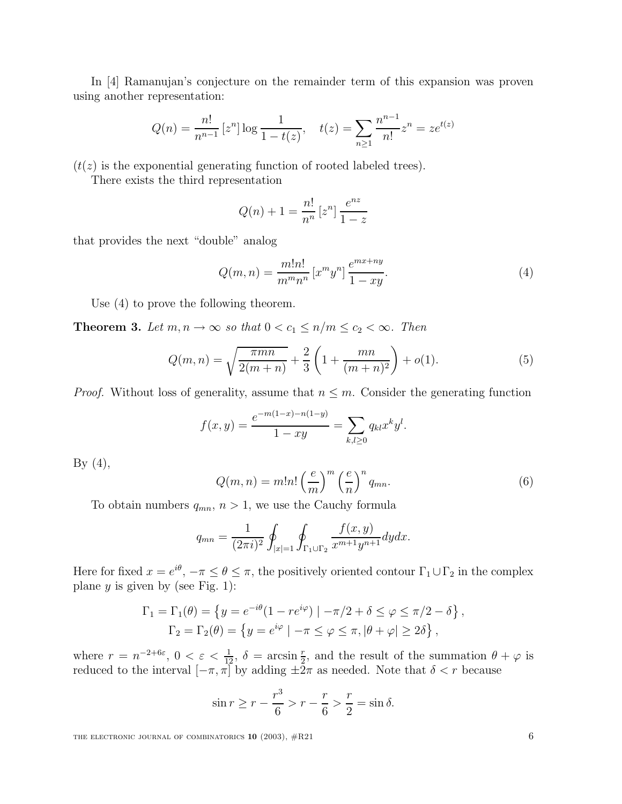In [4] Ramanujan's conjecture on the remainder term of this expansion was proven using another representation:

$$
Q(n) = \frac{n!}{n^{n-1}} \left[ z^n \right] \log \frac{1}{1 - t(z)}, \quad t(z) = \sum_{n \ge 1} \frac{n^{n-1}}{n!} z^n = z e^{t(z)}
$$

 $(t(z))$  is the exponential generating function of rooted labeled trees).

There exists the third representation

$$
Q(n) + 1 = \frac{n!}{n^n} \left[ z^n \right] \frac{e^{nz}}{1 - z}
$$

that provides the next "double" analog

$$
Q(m,n) = \frac{m!n!}{m^m n^n} [x^m y^n] \frac{e^{mx+ny}}{1-xy}.
$$
 (4)

Use (4) to prove the following theorem.

**Theorem 3.** Let  $m, n \to \infty$  so that  $0 < c_1 \leq n/m \leq c_2 < \infty$ . Then

$$
Q(m,n) = \sqrt{\frac{\pi mn}{2(m+n)}} + \frac{2}{3} \left( 1 + \frac{mn}{(m+n)^2} \right) + o(1).
$$
 (5)

*Proof.* Without loss of generality, assume that  $n \leq m$ . Consider the generating function

$$
f(x,y) = \frac{e^{-m(1-x)-n(1-y)}}{1-xy} = \sum_{k,l \ge 0} q_{kl} x^k y^l.
$$

By  $(4)$ ,

$$
Q(m,n) = m!n! \left(\frac{e}{m}\right)^m \left(\frac{e}{n}\right)^n q_{mn}.
$$
 (6)

To obtain numbers  $q_{mn}$ ,  $n > 1$ , we use the Cauchy formula

$$
q_{mn} = \frac{1}{(2\pi i)^2} \oint_{|x|=1} \oint_{\Gamma_1 \cup \Gamma_2} \frac{f(x,y)}{x^{m+1}y^{n+1}} dy dx.
$$

Here for fixed  $x = e^{i\theta}$ ,  $-\pi \le \theta \le \pi$ , the positively oriented contour  $\Gamma_1 \cup \Gamma_2$  in the complex plane  $y$  is given by (see Fig. 1):

$$
\Gamma_1 = \Gamma_1(\theta) = \left\{ y = e^{-i\theta} (1 - re^{i\varphi}) \mid -\pi/2 + \delta \le \varphi \le \pi/2 - \delta \right\},
$$
  

$$
\Gamma_2 = \Gamma_2(\theta) = \left\{ y = e^{i\varphi} \mid -\pi \le \varphi \le \pi, |\theta + \varphi| \ge 2\delta \right\},
$$

where  $r = n^{-2+6\varepsilon}$ ,  $0 < \varepsilon < \frac{1}{12}$ ,  $\delta = \arcsin \frac{r}{2}$ , and the result of the summation  $\theta + \varphi$  is reduced to the interval  $[-\pi, \pi]$  by adding  $\pm 2\pi$  as needed. Note that  $\delta < r$  because

$$
\sin r \ge r - \frac{r^3}{6} > r - \frac{r}{6} > \frac{r}{2} = \sin \delta.
$$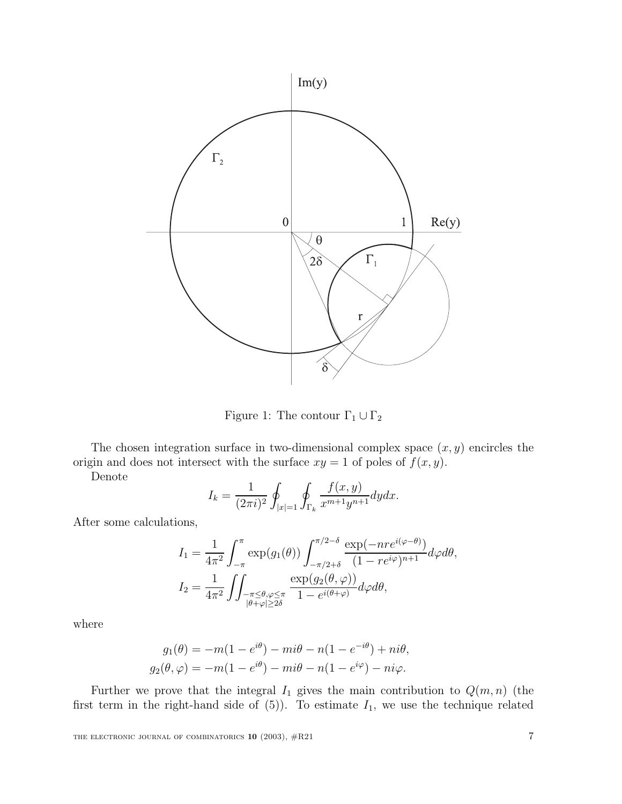

Figure 1: The contour  $\Gamma_1 \cup \Gamma_2$ 

The chosen integration surface in two-dimensional complex space  $(x, y)$  encircles the origin and does not intersect with the surface  $xy = 1$  of poles of  $f(x, y)$ .

Denote

$$
I_k = \frac{1}{(2\pi i)^2} \oint_{|x|=1} \oint_{\Gamma_k} \frac{f(x,y)}{x^{m+1}y^{n+1}} dy dx.
$$

After some calculations,

$$
I_1 = \frac{1}{4\pi^2} \int_{-\pi}^{\pi} \exp(g_1(\theta)) \int_{-\pi/2+\delta}^{\pi/2-\delta} \frac{\exp(-nre^{i(\varphi-\theta)})}{(1-re^{i\varphi})^{n+1}} d\varphi d\theta,
$$
  

$$
I_2 = \frac{1}{4\pi^2} \iint_{\substack{-\pi \le \theta, \varphi \le \pi \\ |\theta+\varphi| \ge 2\delta}} \frac{\exp(g_2(\theta,\varphi))}{1-e^{i(\theta+\varphi)}} d\varphi d\theta,
$$

where

$$
g_1(\theta) = -m(1 - e^{i\theta}) - mi\theta - n(1 - e^{-i\theta}) + ni\theta,
$$
  
\n
$$
g_2(\theta, \varphi) = -m(1 - e^{i\theta}) - mi\theta - n(1 - e^{i\varphi}) - ni\varphi.
$$

Further we prove that the integral  $I_1$  gives the main contribution to  $Q(m, n)$  (the first term in the right-hand side of  $(5)$ ). To estimate  $I_1$ , we use the technique related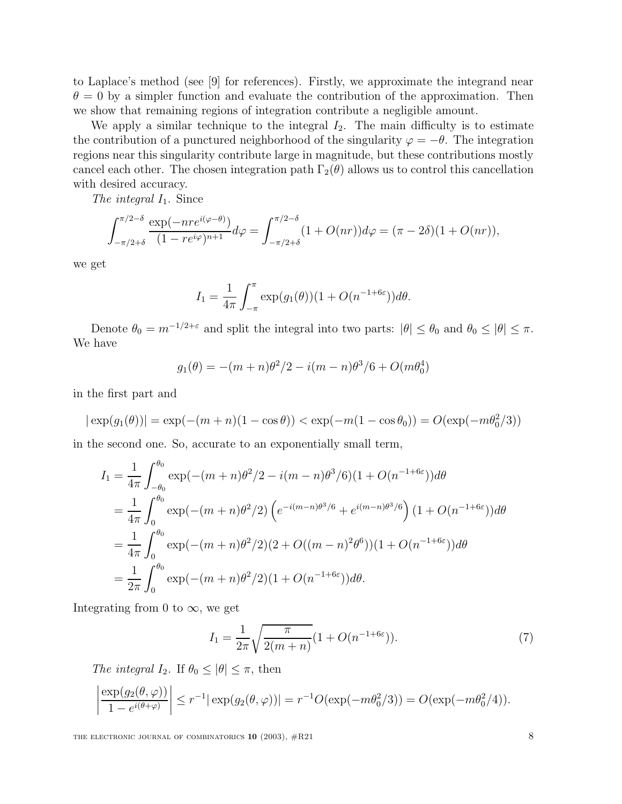to Laplace's method (see [9] for references). Firstly, we approximate the integrand near  $\theta = 0$  by a simpler function and evaluate the contribution of the approximation. Then we show that remaining regions of integration contribute a negligible amount.

We apply a similar technique to the integral  $I_2$ . The main difficulty is to estimate the contribution of a punctured neighborhood of the singularity  $\varphi = -\theta$ . The integration regions near this singularity contribute large in magnitude, but these contributions mostly cancel each other. The chosen integration path  $\Gamma_2(\theta)$  allows us to control this cancellation with desired accuracy.

The integral  $I_1$ . Since

$$
\int_{-\pi/2+\delta}^{\pi/2-\delta} \frac{\exp(-n r e^{i(\varphi-\theta)})}{(1-r e^{i\varphi})^{n+1}} d\varphi = \int_{-\pi/2+\delta}^{\pi/2-\delta} (1+O(nr)) d\varphi = (\pi-2\delta)(1+O(nr)),
$$

we get

$$
I_1 = \frac{1}{4\pi} \int_{-\pi}^{\pi} \exp(g_1(\theta))(1 + O(n^{-1+6\varepsilon}))d\theta.
$$

Denote  $\theta_0 = m^{-1/2+\epsilon}$  and split the integral into two parts:  $|\theta| \leq \theta_0$  and  $\theta_0 \leq |\theta| \leq \pi$ . We have

$$
g_1(\theta) = -(m+n)\theta^2/2 - i(m-n)\theta^3/6 + O(m\theta_0^4)
$$

in the first part and

$$
|\exp(g_1(\theta))| = \exp(-(m+n)(1-\cos\theta)) < \exp(-m(1-\cos\theta_0)) = O(\exp(-m\theta_0^2/3))
$$

in the second one. So, accurate to an exponentially small term,

$$
I_1 = \frac{1}{4\pi} \int_{-\theta_0}^{\theta_0} \exp(-(m+n)\theta^2/2 - i(m-n)\theta^3/6)(1+O(n^{-1+6\varepsilon}))d\theta
$$
  
= 
$$
\frac{1}{4\pi} \int_0^{\theta_0} \exp(-(m+n)\theta^2/2) \left( e^{-i(m-n)\theta^3/6} + e^{i(m-n)\theta^3/6} \right) (1+O(n^{-1+6\varepsilon}))d\theta
$$
  
= 
$$
\frac{1}{4\pi} \int_0^{\theta_0} \exp(-(m+n)\theta^2/2)(2+O((m-n)^2\theta^6))(1+O(n^{-1+6\varepsilon}))d\theta
$$
  
= 
$$
\frac{1}{2\pi} \int_0^{\theta_0} \exp(-(m+n)\theta^2/2)(1+O(n^{-1+6\varepsilon}))d\theta.
$$

Integrating from 0 to  $\infty$ , we get

$$
I_1 = \frac{1}{2\pi} \sqrt{\frac{\pi}{2(m+n)}} (1 + O(n^{-1+6\varepsilon})).
$$
 (7)

The integral I<sub>2</sub>. If  $\theta_0 \leq |\theta| \leq \pi$ , then

$$
\left|\frac{\exp(g_2(\theta,\varphi))}{1-e^{i(\theta+\varphi)}}\right| \le r^{-1}|\exp(g_2(\theta,\varphi))| = r^{-1}O(\exp(-m\theta_0^2/3)) = O(\exp(-m\theta_0^2/4)).
$$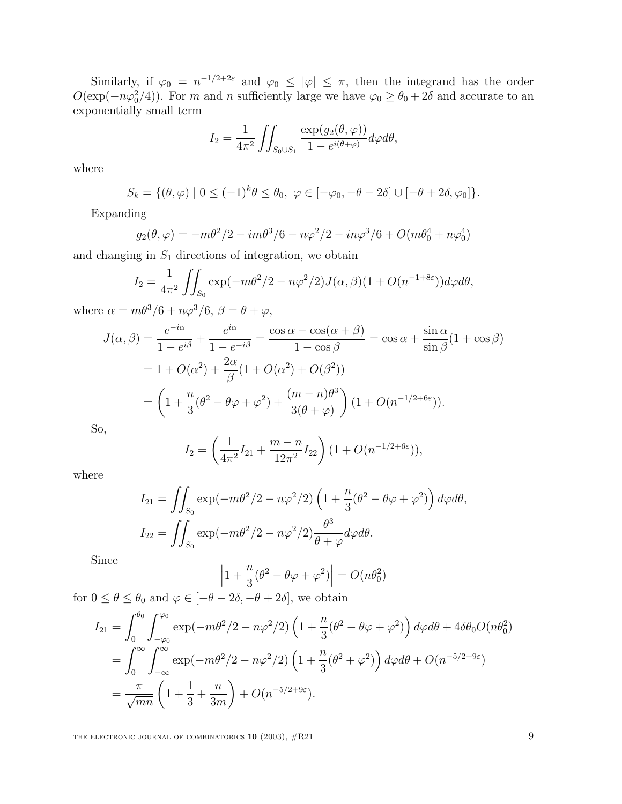Similarly, if  $\varphi_0 = n^{-1/2+2\varepsilon}$  and  $\varphi_0 \leq |\varphi| \leq \pi$ , then the integrand has the order  $O(\exp(-n\varphi_0^2/4))$ . For m and n sufficiently large we have  $\varphi_0 \ge \theta_0 + 2\delta$  and accurate to an exponentially small term

$$
I_2 = \frac{1}{4\pi^2} \iint_{S_0 \cup S_1} \frac{\exp(g_2(\theta, \varphi))}{1 - e^{i(\theta + \varphi)}} d\varphi d\theta,
$$

where

$$
S_k = \{ (\theta, \varphi) \mid 0 \le (-1)^k \theta \le \theta_0, \ \varphi \in [-\varphi_0, -\theta - 2\delta] \cup [-\theta + 2\delta, \varphi_0] \}.
$$

Expanding

$$
g_2(\theta, \varphi) = -m\theta^2/2 - im\theta^3/6 - n\varphi^2/2 - in\varphi^3/6 + O(m\theta_0^4 + n\varphi_0^4)
$$

and changing in  $S_1$  directions of integration, we obtain

$$
I_2 = \frac{1}{4\pi^2} \iint_{S_0} \exp(-m\theta^2/2 - n\varphi^2/2) J(\alpha, \beta) (1 + O(n^{-1+8\varepsilon})) d\varphi d\theta,
$$

where  $\alpha = m\theta^3/6 + n\varphi^3/6$ ,  $\beta = \theta + \varphi$ ,

$$
J(\alpha, \beta) = \frac{e^{-i\alpha}}{1 - e^{i\beta}} + \frac{e^{i\alpha}}{1 - e^{-i\beta}} = \frac{\cos \alpha - \cos(\alpha + \beta)}{1 - \cos \beta} = \cos \alpha + \frac{\sin \alpha}{\sin \beta} (1 + \cos \beta)
$$
  
=  $1 + O(\alpha^2) + \frac{2\alpha}{\beta} (1 + O(\alpha^2) + O(\beta^2))$   
=  $\left(1 + \frac{n}{3}(\theta^2 - \theta\varphi + \varphi^2) + \frac{(m - n)\theta^3}{3(\theta + \varphi)}\right) (1 + O(n^{-1/2 + 6\varepsilon})).$ 

So,

$$
I_2 = \left(\frac{1}{4\pi^2}I_{21} + \frac{m-n}{12\pi^2}I_{22}\right)(1 + O(n^{-1/2 + 6\varepsilon})),
$$

where

$$
I_{21} = \iint_{S_0} \exp(-m\theta^2/2 - n\varphi^2/2) \left(1 + \frac{n}{3}(\theta^2 - \theta\varphi + \varphi^2)\right) d\varphi d\theta,
$$
  

$$
I_{22} = \iint_{S_0} \exp(-m\theta^2/2 - n\varphi^2/2) \frac{\theta^3}{\theta + \varphi} d\varphi d\theta.
$$

Since

$$
\left|1+\frac{n}{3}(\theta^2-\theta\varphi+\varphi^2)\right|=O(n\theta_0^2)
$$

for  $0 \le \theta \le \theta_0$  and  $\varphi \in [-\theta - 2\delta, -\theta + 2\delta]$ , we obtain

$$
I_{21} = \int_0^{\theta_0} \int_{-\varphi_0}^{\varphi_0} \exp(-m\theta^2/2 - n\varphi^2/2) \left(1 + \frac{n}{3}(\theta^2 - \theta\varphi + \varphi^2)\right) d\varphi d\theta + 4\delta\theta_0 O(n\theta_0^2)
$$
  
= 
$$
\int_0^{\infty} \int_{-\infty}^{\infty} \exp(-m\theta^2/2 - n\varphi^2/2) \left(1 + \frac{n}{3}(\theta^2 + \varphi^2)\right) d\varphi d\theta + O(n^{-5/2+9\varepsilon})
$$
  
= 
$$
\frac{\pi}{\sqrt{mn}} \left(1 + \frac{1}{3} + \frac{n}{3m}\right) + O(n^{-5/2+9\varepsilon}).
$$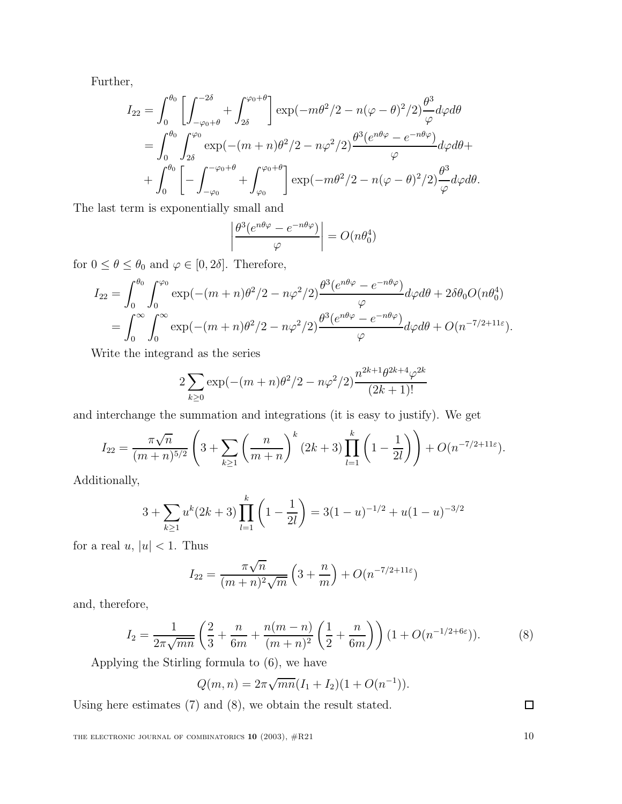Further,

$$
I_{22} = \int_0^{\theta_0} \left[ \int_{-\varphi_0 + \theta}^{-2\delta} + \int_{2\delta}^{\varphi_0 + \theta} \right] \exp(-m\theta^2/2 - n(\varphi - \theta)^2/2) \frac{\theta^3}{\varphi} d\varphi d\theta
$$
  
= 
$$
\int_0^{\theta_0} \int_{2\delta}^{\varphi_0} \exp(-(m+n)\theta^2/2 - n\varphi^2/2) \frac{\theta^3 (e^{n\theta\varphi} - e^{-n\theta\varphi})}{\varphi} d\varphi d\theta +
$$
  
+ 
$$
\int_0^{\theta_0} \left[ - \int_{-\varphi_0}^{-\varphi_0 + \theta} + \int_{\varphi_0}^{\varphi_0 + \theta} \right] \exp(-m\theta^2/2 - n(\varphi - \theta)^2/2) \frac{\theta^3}{\varphi} d\varphi d\theta.
$$

The last term is exponentially small and

$$
\left| \frac{\theta^3 (e^{n\theta\varphi} - e^{-n\theta\varphi})}{\varphi} \right| = O(n\theta_0^4)
$$

for  $0 \le \theta \le \theta_0$  and  $\varphi \in [0, 2\delta]$ . Therefore,

$$
I_{22} = \int_0^{\theta_0} \int_0^{\varphi_0} \exp(-(m+n)\theta^2/2 - n\varphi^2/2) \frac{\theta^3 (e^{n\theta\varphi} - e^{-n\theta\varphi})}{\varphi} d\varphi d\theta + 2\delta\theta_0 O(n\theta_0^4)
$$
  
= 
$$
\int_0^{\infty} \int_0^{\infty} \exp(-(m+n)\theta^2/2 - n\varphi^2/2) \frac{\theta^3 (e^{n\theta\varphi} - e^{-n\theta\varphi})}{\varphi} d\varphi d\theta + O(n^{-7/2+11\varepsilon}).
$$

Write the integrand as the series

$$
2\sum_{k\geq 0} \exp(-(m+n)\theta^2/2 - n\varphi^2/2) \frac{n^{2k+1}\theta^{2k+4}\varphi^{2k}}{(2k+1)!}
$$

and interchange the summation and integrations (it is easy to justify). We get

k

$$
I_{22} = \frac{\pi\sqrt{n}}{(m+n)^{5/2}} \left(3 + \sum_{k\geq 1} \left(\frac{n}{m+n}\right)^k (2k+3) \prod_{l=1}^k \left(1 - \frac{1}{2l}\right)\right) + O(n^{-7/2+11\varepsilon}).
$$

Additionally,

$$
3 + \sum_{k \ge 1} u^k (2k+3) \prod_{l=1}^k \left( 1 - \frac{1}{2l} \right) = 3(1-u)^{-1/2} + u(1-u)^{-3/2}
$$

for a real  $u, |u| < 1$ . Thus

$$
I_{22} = \frac{\pi\sqrt{n}}{(m+n)^2\sqrt{m}} \left(3 + \frac{n}{m}\right) + O(n^{-7/2+11\varepsilon})
$$

and, therefore,

$$
I_2 = \frac{1}{2\pi\sqrt{mn}} \left( \frac{2}{3} + \frac{n}{6m} + \frac{n(m-n)}{(m+n)^2} \left( \frac{1}{2} + \frac{n}{6m} \right) \right) (1 + O(n^{-1/2 + 6\varepsilon})).
$$
 (8)

Applying the Stirling formula to (6), we have

$$
Q(m, n) = 2\pi \sqrt{mn}(I_1 + I_2)(1 + O(n^{-1})).
$$

Using here estimates (7) and (8), we obtain the result stated.

 $\Box$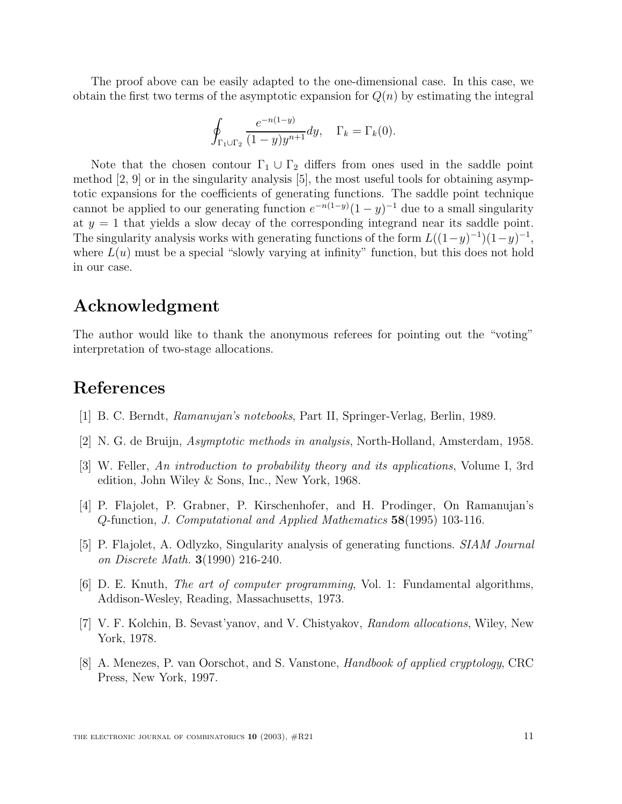The proof above can be easily adapted to the one-dimensional case. In this case, we obtain the first two terms of the asymptotic expansion for  $Q(n)$  by estimating the integral

$$
\oint_{\Gamma_1 \cup \Gamma_2} \frac{e^{-n(1-y)}}{(1-y)y^{n+1}} dy, \quad \Gamma_k = \Gamma_k(0).
$$

Note that the chosen contour  $\Gamma_1 \cup \Gamma_2$  differs from ones used in the saddle point method [2, 9] or in the singularity analysis [5], the most useful tools for obtaining asymptotic expansions for the coefficients of generating functions. The saddle point technique cannot be applied to our generating function  $e^{-n(1-y)}(1-y)^{-1}$  due to a small singularity at  $y = 1$  that yields a slow decay of the corresponding integrand near its saddle point. The singularity analysis works with generating functions of the form  $L((1-y)^{-1})(1-y)^{-1}$ , where  $L(u)$  must be a special "slowly varying at infinity" function, but this does not hold in our case.

# **Acknowledgment**

The author would like to thank the anonymous referees for pointing out the "voting" interpretation of two-stage allocations.

# **References**

- [1] B. C. Berndt, Ramanujan's notebooks, Part II, Springer-Verlag, Berlin, 1989.
- [2] N. G. de Bruijn, Asymptotic methods in analysis, North-Holland, Amsterdam, 1958.
- [3] W. Feller, An introduction to probability theory and its applications, Volume I, 3rd edition, John Wiley & Sons, Inc., New York, 1968.
- [4] P. Flajolet, P. Grabner, P. Kirschenhofer, and H. Prodinger, On Ramanujan's Q-function, J. Computational and Applied Mathematics **58**(1995) 103-116.
- [5] P. Flajolet, A. Odlyzko, Singularity analysis of generating functions. SIAM Journal on Discrete Math. **3**(1990) 216-240.
- [6] D. E. Knuth, The art of computer programming, Vol. 1: Fundamental algorithms, Addison-Wesley, Reading, Massachusetts, 1973.
- [7] V. F. Kolchin, B. Sevast'yanov, and V. Chistyakov, Random allocations, Wiley, New York, 1978.
- [8] A. Menezes, P. van Oorschot, and S. Vanstone, Handbook of applied cryptology, CRC Press, New York, 1997.